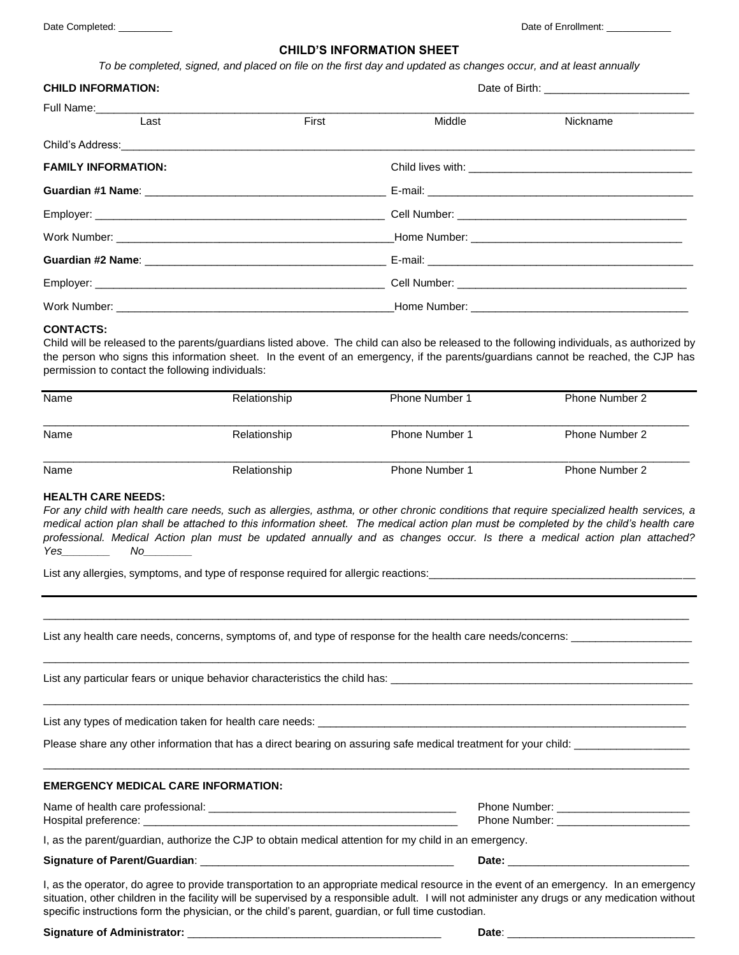## **CHILD'S INFORMATION SHEET**

*To be completed, signed, and placed on file on the first day and updated as changes occur, and at least annually*

| <b>CHILD INFORMATION:</b>  |       |              |          |  |
|----------------------------|-------|--------------|----------|--|
|                            |       |              |          |  |
| Last                       | First | Middle       | Nickname |  |
|                            |       |              |          |  |
| <b>FAMILY INFORMATION:</b> |       |              |          |  |
|                            |       |              |          |  |
|                            |       |              |          |  |
|                            |       |              |          |  |
|                            |       |              |          |  |
|                            |       |              |          |  |
| Work Number:               |       | Home Number: |          |  |

#### **CONTACTS:**

Child will be released to the parents/guardians listed above. The child can also be released to the following individuals, as authorized by the person who signs this information sheet. In the event of an emergency, if the parents/guardians cannot be reached, the CJP has permission to contact the following individuals:

| Name | Relationship | <b>Phone Number 1</b> | <b>Phone Number 2</b> |
|------|--------------|-----------------------|-----------------------|
| Name | Relationship | <b>Phone Number 1</b> | <b>Phone Number 2</b> |
| Name | Relationship | <b>Phone Number 1</b> | <b>Phone Number 2</b> |

### **HEALTH CARE NEEDS:**

*For any child with health care needs, such as allergies, asthma, or other chronic conditions that require specialized health services, a medical action plan shall be attached to this information sheet. The medical action plan must be completed by the child's health care professional. Medical Action plan must be updated annually and as changes occur. Is there a medical action plan attached? Yes\_\_\_\_\_\_\_\_ No\_\_\_\_\_\_\_\_*

\_\_\_\_\_\_\_\_\_\_\_\_\_\_\_\_\_\_\_\_\_\_\_\_\_\_\_\_\_\_\_\_\_\_\_\_\_\_\_\_\_\_\_\_\_\_\_\_\_\_\_\_\_\_\_\_\_\_\_\_\_\_\_\_\_\_\_\_\_\_\_\_\_\_\_\_\_\_\_\_\_\_\_\_\_\_\_\_\_\_\_\_\_\_\_\_\_\_\_\_\_\_\_\_\_\_\_

\_\_\_\_\_\_\_\_\_\_\_\_\_\_\_\_\_\_\_\_\_\_\_\_\_\_\_\_\_\_\_\_\_\_\_\_\_\_\_\_\_\_\_\_\_\_\_\_\_\_\_\_\_\_\_\_\_\_\_\_\_\_\_\_\_\_\_\_\_\_\_\_\_\_\_\_\_\_\_\_\_\_\_\_\_\_\_\_\_\_\_\_\_\_\_\_\_\_\_\_\_\_\_\_\_\_\_

\_\_\_\_\_\_\_\_\_\_\_\_\_\_\_\_\_\_\_\_\_\_\_\_\_\_\_\_\_\_\_\_\_\_\_\_\_\_\_\_\_\_\_\_\_\_\_\_\_\_\_\_\_\_\_\_\_\_\_\_\_\_\_\_\_\_\_\_\_\_\_\_\_\_\_\_\_\_\_\_\_\_\_\_\_\_\_\_\_\_\_\_\_\_\_\_\_\_\_\_\_\_\_\_\_\_\_

\_\_\_\_\_\_\_\_\_\_\_\_\_\_\_\_\_\_\_\_\_\_\_\_\_\_\_\_\_\_\_\_\_\_\_\_\_\_\_\_\_\_\_\_\_\_\_\_\_\_\_\_\_\_\_\_\_\_\_\_\_\_\_\_\_\_\_\_\_\_\_\_\_\_\_\_\_\_\_\_\_\_\_\_\_\_\_\_\_\_\_\_\_\_\_\_\_\_\_\_\_\_\_\_\_\_\_

List any allergies, symptoms, and type of response required for allergic reactions:

List any health care needs, concerns, symptoms of, and type of response for the health care needs/concerns: \_\_

List any particular fears or unique behavior characteristics the child has:

List any types of medication taken for health care needs: \_\_\_\_\_\_

Please share any other information that has a direct bearing on assuring safe medical treatment for your child: \_\_\_\_\_\_\_\_\_\_\_\_\_\_\_\_\_\_\_\_\_\_

## **EMERGENCY MEDICAL CARE INFORMATION:**

Name of health care professional: \_\_\_\_\_\_\_\_\_\_\_\_\_\_\_\_\_\_\_\_\_\_\_\_\_\_\_\_\_\_\_\_\_\_\_\_\_\_\_\_\_ Phone Number: \_\_\_\_\_\_\_\_\_\_\_\_\_\_\_\_\_\_\_\_\_\_

Hospital preference: \_\_\_\_\_\_\_\_\_\_\_\_\_\_\_\_\_\_\_\_\_\_\_\_\_\_\_\_\_\_\_\_\_\_\_\_\_\_\_\_\_\_\_\_\_\_\_\_\_\_\_\_ Phone Number: \_\_\_\_\_\_\_\_\_\_\_\_\_\_\_\_\_\_\_\_\_\_

I, as the parent/guardian, authorize the CJP to obtain medical attention for my child in an emergency.

#### **Signature of Parent/Guardian**: \_\_\_\_\_\_\_\_\_\_\_\_\_\_\_\_\_\_\_\_\_\_\_\_\_\_\_\_\_\_\_\_\_\_\_\_\_\_\_\_\_\_ **Date:** \_\_\_\_\_\_\_\_\_\_\_\_\_\_\_\_\_\_\_\_\_\_\_\_\_\_\_\_\_\_

I, as the operator, do agree to provide transportation to an appropriate medical resource in the event of an emergency. In an emergency situation, other children in the facility will be supervised by a responsible adult. I will not administer any drugs or any medication without specific instructions form the physician, or the child's parent, guardian, or full time custodian.

#### **Signature of Administrator:** \_\_\_\_\_\_\_\_\_\_\_\_\_\_\_\_\_\_\_\_\_\_\_\_\_\_\_\_\_\_\_\_\_\_\_\_\_\_\_\_\_\_ **Date**: \_\_\_\_\_\_\_\_\_\_\_\_\_\_\_\_\_\_\_\_\_\_\_\_\_\_\_\_\_\_\_